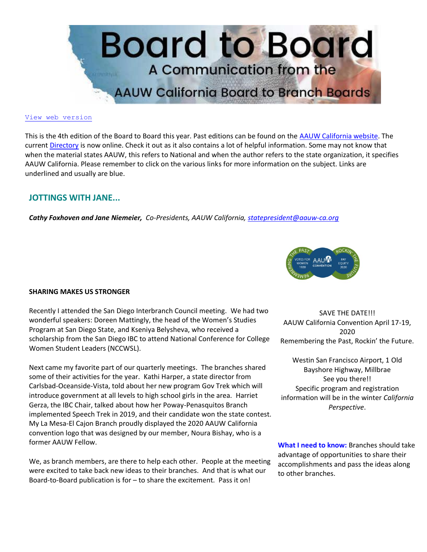

#### [View web version](https://bor.aauw-ca.org/sendy/w/YlrJ763AeyF892b51vFm0EptRw/4FDFL4S593H7oWC6rDwDxg/5s2UV4AI2sOr2lKLWzd892tQ)

This is the 4th edition of the Board to Board this year. Past editions can be found on the [AAUW California website.](https://bor.aauw-ca.org/sendy/l/YlrJ763AeyF892b51vFm0EptRw/4V6YeRTHBQTDaztjn7Ychg/5s2UV4AI2sOr2lKLWzd892tQ) The current [Directory](https://bor.aauw-ca.org/sendy/l/YlrJ763AeyF892b51vFm0EptRw/xdSon8vFHpbovfBc8sOdPw/5s2UV4AI2sOr2lKLWzd892tQ) is now online. Check it out as it also contains a lot of helpful information. Some may not know that when the material states AAUW, this refers to National and when the author refers to the state organization, it specifies AAUW California. Please remember to click on the various links for more information on the subject. Links are underlined and usually are blue.

## **JOTTINGS WITH JANE...**

*Cathy Foxhoven and Jane Niemeier, Co-Presidents, AAUW California, [statepresident@aauw-ca.org](mailto:statepresident@aauw-ca.org)*



### **SHARING MAKES US STRONGER**

Recently I attended the San Diego Interbranch Council meeting. We had two wonderful speakers: Doreen Mattingly, the head of the Women's Studies Program at San Diego State, and Kseniya Belysheva, who received a scholarship from the San Diego IBC to attend National Conference for College Women Student Leaders (NCCWSL).

Next came my favorite part of our quarterly meetings. The branches shared some of their activities for the year. Kathi Harper, a state director from Carlsbad-Oceanside-Vista, told about her new program Gov Trek which will introduce government at all levels to high school girls in the area. Harriet Gerza, the IBC Chair, talked about how her Poway-Penasquitos Branch implemented Speech Trek in 2019, and their candidate won the state contest. My La Mesa-El Cajon Branch proudly displayed the 2020 AAUW California convention logo that was designed by our member, Noura Bishay, who is a former AAUW Fellow.

We, as branch members, are there to help each other. People at the meeting were excited to take back new ideas to their branches. And that is what our Board-to-Board publication is for – to share the excitement. Pass it on!

SAVE THE DATE!!! AAUW California Convention April 17-19, 2020 Remembering the Past, Rockin' the Future.

Westin San Francisco Airport, 1 Old Bayshore Highway, Millbrae See you there!! Specific program and registration information will be in the winter *California Perspective*.

**What I need to know:** Branches should take advantage of opportunities to share their accomplishments and pass the ideas along to other branches.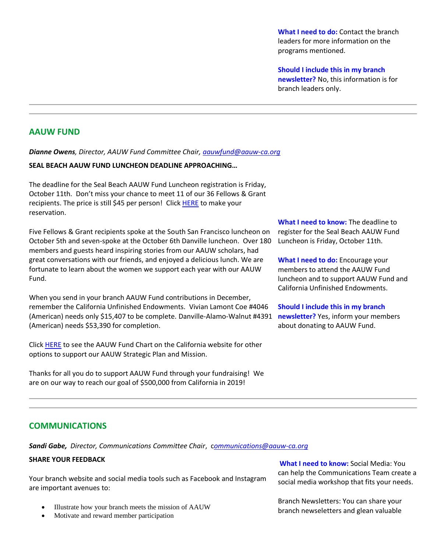**What I need to do:** Contact the branch leaders for more information on the programs mentioned.

**Should I include this in my branch newsletter?** No, this information is for

branch leaders only.

# **AAUW FUND**

*Dianne Owens, Director, AAUW Fund Committee Chair, [aauwfund@aauw-ca.org](mailto:aauwfund@aauw-ca.org)*

### **SEAL BEACH AAUW FUND LUNCHEON DEADLINE APPROACHING…**

The deadline for the Seal Beach AAUW Fund Luncheon registration is Friday, October 11th. Don't miss your chance to meet 11 of our 36 Fellows & Grant recipients. The price is still \$45 per person! Clic[k HERE](https://bor.aauw-ca.org/sendy/l/YlrJ763AeyF892b51vFm0EptRw/0QH9kNurxmvCC23WThBnTw/5s2UV4AI2sOr2lKLWzd892tQ) to make your reservation.

Five Fellows & Grant recipients spoke at the South San Francisco luncheon on October 5th and seven-spoke at the October 6th Danville luncheon. Over 180 members and guests heard inspiring stories from our AAUW scholars, had great conversations with our friends, and enjoyed a delicious lunch. We are fortunate to learn about the women we support each year with our AAUW Fund.

When you send in your branch AAUW Fund contributions in December, remember the California Unfinished Endowments. Vivian Lamont Coe #4046 (American) needs only \$15,407 to be complete. Danville-Alamo-Walnut #4391 (American) needs \$53,390 for completion.

Clic[k HERE](https://bor.aauw-ca.org/sendy/l/YlrJ763AeyF892b51vFm0EptRw/pzzFFJxsnSy8H5BiTWctHw/5s2UV4AI2sOr2lKLWzd892tQ) to see the AAUW Fund Chart on the California website for other options to support our AAUW Strategic Plan and Mission.

Thanks for all you do to support AAUW Fund through your fundraising! We are on our way to reach our goal of \$500,000 from California in 2019!

**What I need to know:** The deadline to register for the Seal Beach AAUW Fund Luncheon is Friday, October 11th.

**What I need to do:** Encourage your members to attend the AAUW Fund luncheon and to support AAUW Fund and California Unfinished Endowments.

**Should I include this in my branch newsletter?** Yes, inform your members about donating to AAUW Fund.

# **COMMUNICATIONS**

*Sandi Gabe, Director, Communications Committee Chair*, c*[ommunications@aauw-ca.org](mailto:Communications@aauw-ca.org)*

## **SHARE YOUR FEEDBACK**

Your branch website and social media tools such as Facebook and Instagram are important avenues to:

- Illustrate how your branch meets the mission of AAUW
- Motivate and reward member participation

**What I need to know:** Social Media: You can help the Communications Team create a social media workshop that fits your needs.

Branch Newsletters: You can share your branch newseletters and glean valuable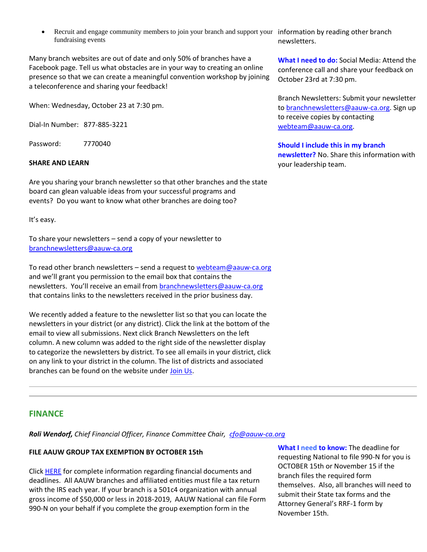• Recruit and engage community members to join your branch and support your information by reading other branch fundraising events

Many branch websites are out of date and only 50% of branches have a Facebook page. Tell us what obstacles are in your way to creating an online presence so that we can create a meaningful convention workshop by joining a teleconference and sharing your feedback!

When: Wednesday, October 23 at 7:30 pm.

Dial-In Number: 877-885-3221

Password: 7770040

### **SHARE AND LEARN**

Are you sharing your branch newsletter so that other branches and the state board can glean valuable ideas from your successful programs and events? Do you want to know what other branches are doing too?

It's easy.

To share your newsletters – send a copy of your newsletter to [branchnewsletters@aauw-ca.org](mailto:branchnewsletters@aauw-ca.org)

To read other branch newsletters – send a request to [webteam@aauw-ca.org](mailto:webteam@aauw-ca.org) and we'll grant you permission to the email box that contains the newsletters. You'll receive an email from **[branchnewsletters@aauw-ca.org](mailto:branchnewsletters@aauw-ca.org)** that contains links to the newsletters received in the prior business day.

We recently added a feature to the newsletter list so that you can locate the newsletters in your district (or any district). Click the link at the bottom of the email to view all submissions. Next click Branch Newsletters on the left column. A new column was added to the right side of the newsletter display to categorize the newsletters by district. To see all emails in your district, click on any link to your district in the column. The list of districts and associated branches can be found on the website under [Join Us.](https://bor.aauw-ca.org/sendy/l/YlrJ763AeyF892b51vFm0EptRw/2j7YPWL61YxloSUesLCbvg/5s2UV4AI2sOr2lKLWzd892tQ)

## **FINANCE**

*Roli Wendorf, Chief Financial Officer, Finance Committee Chair, [cfo@aauw-ca.org](mailto:cfo@aauw-ca.org)*

### **FILE AAUW GROUP TAX EXEMPTION BY OCTOBER 15th**

Clic[k HERE](https://bor.aauw-ca.org/sendy/l/YlrJ763AeyF892b51vFm0EptRw/tzgmLI2h2nyvboIyN9yqcQ/5s2UV4AI2sOr2lKLWzd892tQ) for complete information regarding financial documents and deadlines. All AAUW branches and affiliated entities must file a tax return with the IRS each year. If your branch is a 501c4 organization with annual gross income of \$50,000 or less in 2018-2019, AAUW National can file Form 990-N on your behalf if you complete the group exemption form in the

**What I need to know:** The deadline for requesting National to file 990-N for you is OCTOBER 15th or November 15 if the branch files the required form themselves. Also, all branches will need to submit their State tax forms and the Attorney General's RRF-1 form by November 15th.

newsletters.

**What I need to do:** Social Media: Attend the conference call and share your feedback on October 23rd at 7:30 pm.

Branch Newsletters: Submit your newsletter t[o branchnewsletters@aauw-ca.org.](mailto:branchnewsletters@aauw-ca.org) Sign up to receive copies by contacting [webteam@aauw-ca.org.](mailto:webteam@aauw-ca.org)

**Should I include this in my branch newsletter?** No. Share this information with your leadership team.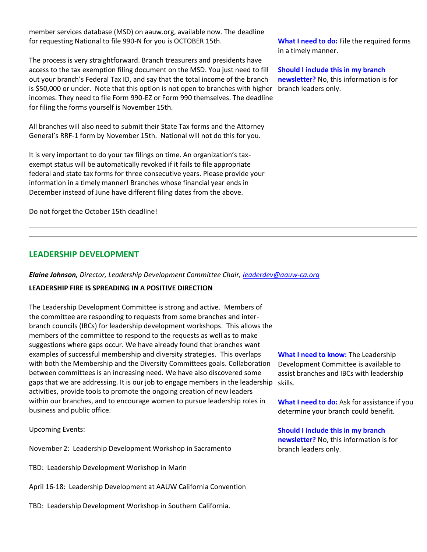member services database (MSD) on aauw.org, available now. The deadline for requesting National to file 990-N for you is OCTOBER 15th.

The process is very straightforward. Branch treasurers and presidents have access to the tax exemption filing document on the MSD. You just need to fill out your branch's Federal Tax ID, and say that the total income of the branch is \$50,000 or under. Note that this option is not open to branches with higher incomes. They need to file Form 990-EZ or Form 990 themselves. The deadline for filing the forms yourself is November 15th.

All branches will also need to submit their State Tax forms and the Attorney General's RRF-1 form by November 15th. National will not do this for you.

It is very important to do your tax filings on time. An organization's taxexempt status will be automatically revoked if it fails to file appropriate federal and state tax forms for three consecutive years. Please provide your information in a timely manner! Branches whose financial year ends in December instead of June have different filing dates from the above.

Do not forget the October 15th deadline!

# **LEADERSHIP DEVELOPMENT**

*Elaine Johnson, Director, Leadership Development Committee Chair, [leaderdev@aauw-ca.org](mailto:leaderdev@aauw-ca.org)*

## **LEADERSHIP FIRE IS SPREADING IN A POSITIVE DIRECTION**

The Leadership Development Committee is strong and active. Members of the committee are responding to requests from some branches and interbranch councils (IBCs) for leadership development workshops. This allows the members of the committee to respond to the requests as well as to make suggestions where gaps occur. We have already found that branches want examples of successful membership and diversity strategies. This overlaps with both the Membership and the Diversity Committees goals. Collaboration between committees is an increasing need. We have also discovered some gaps that we are addressing. It is our job to engage members in the leadership activities, provide tools to promote the ongoing creation of new leaders within our branches, and to encourage women to pursue leadership roles in business and public office.

Upcoming Events:

November 2: Leadership Development Workshop in Sacramento

TBD: Leadership Development Workshop in Marin

April 16-18: Leadership Development at AAUW California Convention

TBD: Leadership Development Workshop in Southern California.

**What I need to do:** File the required forms in a timely manner.

**Should I include this in my branch newsletter?** No, this information is for branch leaders only.

**What I need to know:** The Leadership Development Committee is available to assist branches and IBCs with leadership skills.

**What I need to do:** Ask for assistance if you determine your branch could benefit.

**Should I include this in my branch newsletter?** No, this information is for branch leaders only.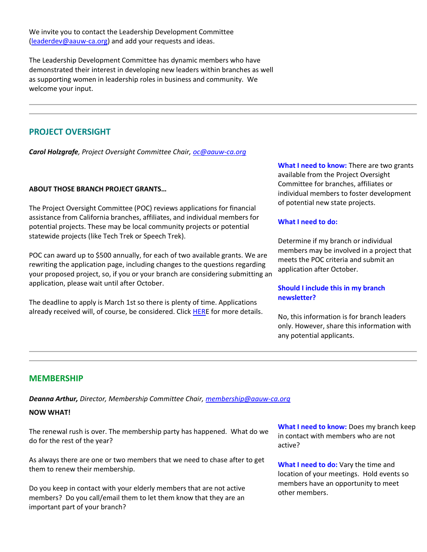We invite you to contact the Leadership Development Committee [\(leaderdev@aauw-ca.org\)](mailto:leaderdev@aauw-ca.org) and add your requests and ideas.

The Leadership Development Committee has dynamic members who have demonstrated their interest in developing new leaders within branches as well as supporting women in leadership roles in business and community. We welcome your input.

# **PROJECT OVERSIGHT**

*Carol Holzgrafe, Project Oversight Committee Chair[, oc@aauw-ca.org](mailto:oc@aauw-ca.org)*

## **ABOUT THOSE BRANCH PROJECT GRANTS…**

The Project Oversight Committee (POC) reviews applications for financial assistance from California branches, affiliates, and individual members for potential projects. These may be local community projects or potential statewide projects (like Tech Trek or Speech Trek).

POC can award up to \$500 annually, for each of two available grants. We are rewriting the application page, including changes to the questions regarding your proposed project, so, if you or your branch are considering submitting an application, please wait until after October.

The deadline to apply is March 1st so there is plenty of time. Applications already received will, of course, be considered. Click [HERE](https://bor.aauw-ca.org/sendy/l/YlrJ763AeyF892b51vFm0EptRw/DJAPNKkCDMs8U7632KNfD8xw/5s2UV4AI2sOr2lKLWzd892tQ) for more details. **What I need to know:** There are two grants available from the Project Oversight Committee for branches, affiliates or individual members to foster development of potential new state projects.

### **What I need to do:**

Determine if my branch or individual members may be involved in a project that meets the POC criteria and submit an application after October.

## **Should I include this in my branch newsletter?**

No, this information is for branch leaders only. However, share this information with any potential applicants.

## **MEMBERSHIP**

*Deanna Arthur, Director, Membership Committee Chair, [membership@aauw-ca.org](mailto:membership@aauw-ca.org)*

### **NOW WHAT!**

The renewal rush is over. The membership party has happened. What do we do for the rest of the year?

As always there are one or two members that we need to chase after to get them to renew their membership.

Do you keep in contact with your elderly members that are not active members? Do you call/email them to let them know that they are an important part of your branch?

**What I need to know:** Does my branch keep in contact with members who are not active?

**What I need to do:** Vary the time and location of your meetings. Hold events so members have an opportunity to meet other members.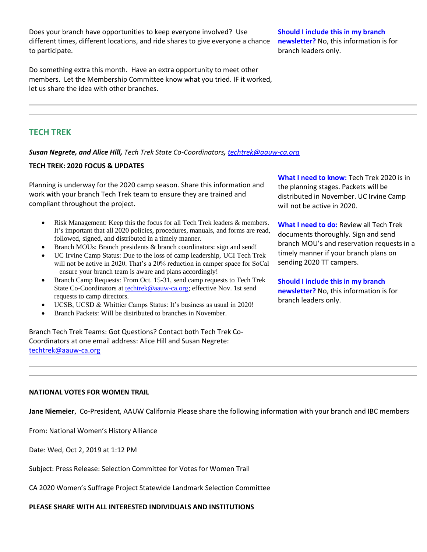Does your branch have opportunities to keep everyone involved? Use different times, different locations, and ride shares to give everyone a chance to participate.

Do something extra this month. Have an extra opportunity to meet other members. Let the Membership Committee know what you tried. IF it worked, let us share the idea with other branches.

**Should I include this in my branch newsletter?** No, this information is for branch leaders only.

# **TECH TREK**

*Susan Negrete, and Alice Hill, Tech Trek State Co-Coordinators, [techtrek@aauw-ca.org](mailto:techtrek@aauw-ca.org)*

### **TECH TREK: 2020 FOCUS & UPDATES**

Planning is underway for the 2020 camp season. Share this information and work with your branch Tech Trek team to ensure they are trained and compliant throughout the project.

- Risk Management: Keep this the focus for all Tech Trek leaders & members. It's important that all 2020 policies, procedures, manuals, and forms are read, followed, signed, and distributed in a timely manner.
- Branch MOUs: Branch presidents & branch coordinators: sign and send!
- UC Irvine Camp Status: Due to the loss of camp leadership, UCI Tech Trek will not be active in 2020. That's a 20% reduction in camper space for SoCal – ensure your branch team is aware and plans accordingly!
- Branch Camp Requests: From Oct. 15-31, send camp requests to Tech Trek State Co-Coordinators at **techtrek@aauw-ca.org**; effective Nov. 1st send requests to camp directors.
- UCSB, UCSD & Whittier Camps Status: It's business as usual in 2020!
- Branch Packets: Will be distributed to branches in November.

Branch Tech Trek Teams: Got Questions? Contact both Tech Trek Co-Coordinators at one email address: Alice Hill and Susan Negrete: [techtrek@aauw-ca.org](mailto:techtrek@aauw-ca.org)

**What I need to know:** Tech Trek 2020 is in the planning stages. Packets will be distributed in November. UC Irvine Camp will not be active in 2020.

**What I need to do:** Review all Tech Trek documents thoroughly. Sign and send branch MOU's and reservation requests in a timely manner if your branch plans on sending 2020 TT campers.

**Should I include this in my branch newsletter?** No, this information is for branch leaders only.

### **NATIONAL VOTES FOR WOMEN TRAIL**

**Jane Niemeier**, Co-President, AAUW California Please share the following information with your branch and IBC members

From: National Women's History Alliance

Date: Wed, Oct 2, 2019 at 1:12 PM

Subject: Press Release: Selection Committee for Votes for Women Trail

CA 2020 Women's Suffrage Project Statewide Landmark Selection Committee

**PLEASE SHARE WITH ALL INTERESTED INDIVIDUALS AND INSTITUTIONS**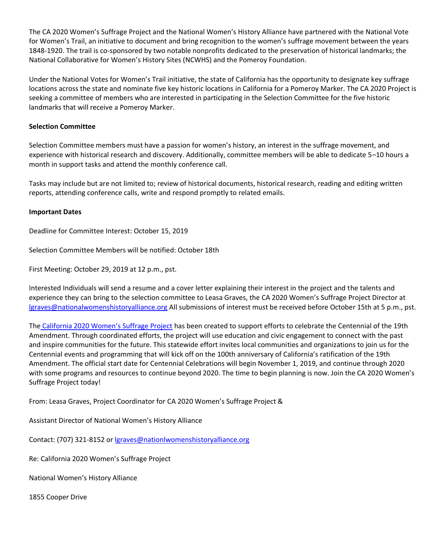The CA 2020 Women's Suffrage Project and the National Women's History Alliance have partnered with the National Vote for Women's Trail, an initiative to document and bring recognition to the women's suffrage movement between the years 1848-1920. The trail is co-sponsored by two notable nonprofits dedicated to the preservation of historical landmarks; the National Collaborative for Women's History Sites (NCWHS) and the Pomeroy Foundation.

Under the National Votes for Women's Trail initiative, the state of California has the opportunity to designate key suffrage locations across the state and nominate five key historic locations in California for a Pomeroy Marker. The CA 2020 Project is seeking a committee of members who are interested in participating in the Selection Committee for the five historic landmarks that will receive a Pomeroy Marker.

## **Selection Committee**

Selection Committee members must have a passion for women's history, an interest in the suffrage movement, and experience with historical research and discovery. Additionally, committee members will be able to dedicate 5–10 hours a month in support tasks and attend the monthly conference call.

Tasks may include but are not limited to; review of historical documents, historical research, reading and editing written reports, attending conference calls, write and respond promptly to related emails.

## **Important Dates**

Deadline for Committee Interest: October 15, 2019

Selection Committee Members will be notified: October 18th

First Meeting: October 29, 2019 at 12 p.m., pst.

Interested Individuals will send a resume and a cover letter explaining their interest in the project and the talents and experience they can bring to the selection committee to Leasa Graves, the CA 2020 Women's Suffrage Project Director at [lgraves@nationalwomenshistoryalliance.org](mailto:lgraves@nationalwomenshistoryalliance.org) All submissions of interest must be received before October 15th at 5 p.m., pst.

The [California 2020 Women's Suffrage Project](https://bor.aauw-ca.org/sendy/l/YlrJ763AeyF892b51vFm0EptRw/KluSq9a5TZ7635p41cnOXMJw/5s2UV4AI2sOr2lKLWzd892tQ) has been created to support efforts to celebrate the Centennial of the 19th Amendment. Through coordinated efforts, the project will use education and civic engagement to connect with the past and inspire communities for the future. This statewide effort invites local communities and organizations to join us for the Centennial events and programming that will kick off on the 100th anniversary of California's ratification of the 19th Amendment. The official start date for Centennial Celebrations will begin November 1, 2019, and continue through 2020 with some programs and resources to continue beyond 2020. The time to begin planning is now. Join the CA 2020 Women's Suffrage Project today!

From: Leasa Graves, Project Coordinator for CA 2020 Women's Suffrage Project &

Assistant Director of National Women's History Alliance

Contact: (707) 321-8152 o[r lgraves@nationlwomenshistoryalliance.org](mailto:lgraves@nationlwomenshistoryalliance.org)

Re: California 2020 Women's Suffrage Project

National Women's History Alliance

1855 Cooper Drive